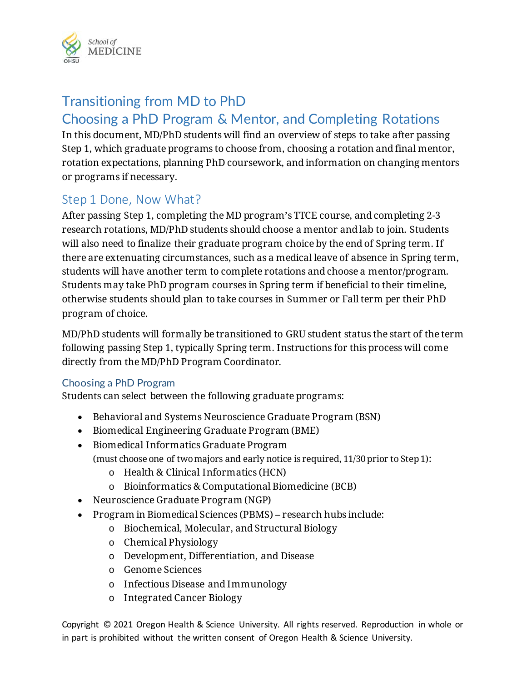

# Transitioning from MD to PhD

# Choosing a PhD Program & Mentor, and Completing Rotations

In this document, MD/PhD students will find an overview of steps to take after passing Step 1, which graduate programs to choose from, choosing a rotation and final mentor, rotation expectations, planning PhD coursework, and information on changing mentors or programs if necessary.

## Step 1 Done, Now What?

After passing Step 1, completing the MD program's TTCE course, and completing 2-3 research rotations, MD/PhD students should choose a mentor and lab to join. Students will also need to finalize their graduate program choice by the end of Spring term. If there are extenuating circumstances, such as a medical leave of absence in Spring term, students will have another term to complete rotations and choose a mentor/program. Students may take PhD program courses in Spring term if beneficial to their timeline, otherwise students should plan to take courses in Summer or Fall term per their PhD program of choice.

MD/PhD students will formally be transitioned to GRU student status the start of the term following passing Step 1, typically Spring term. Instructions for this process will come directly from the MD/PhD Program Coordinator.

### Choosing a PhD Program

Students can select between the following graduate programs:

- Behavioral and Systems Neuroscience Graduate Program (BSN)
- Biomedical Engineering Graduate Program (BME)
- Biomedical Informatics Graduate Program (must choose one of two majors and early notice is required, 11/30 prior to Step 1):
	- o Health & Clinical Informatics (HCN)
	- o Bioinformatics & Computational Biomedicine (BCB)
- Neuroscience Graduate Program (NGP)
- Program in Biomedical Sciences (PBMS) research hubs include:
	- o Biochemical, Molecular, and Structural Biology
	- o Chemical Physiology
	- o Development, Differentiation, and Disease
	- o Genome Sciences
	- o Infectious Disease and Immunology
	- o Integrated Cancer Biology

Copyright © 2021 Oregon Health & Science University. All rights reserved. Reproduction in whole or in part is prohibited without the written consent of Oregon Health & Science University.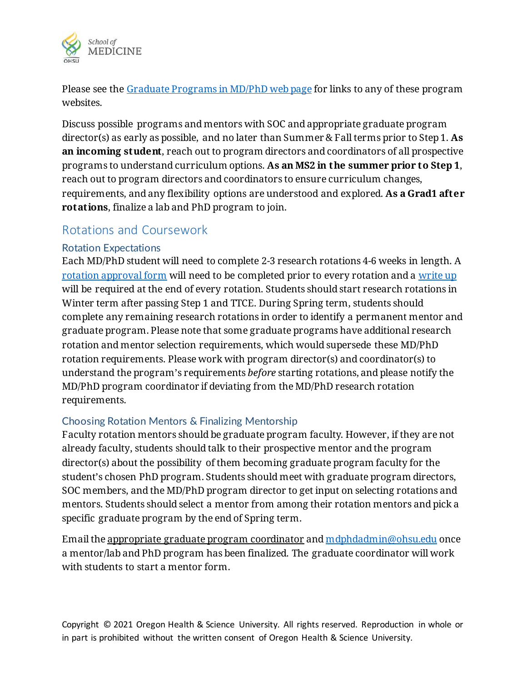

Please see the [Graduate Programs in MD/PhD web page](https://www.ohsu.edu/school-of-medicine/md-phd-program/graduate-programs-md-phd) for links to any of these program websites.

Discuss possible programs and mentors with SOC and appropriate graduate program director(s) as early as possible, and no later than Summer & Fall terms prior to Step 1. **As an incoming student**, reach out to program directors and coordinators of all prospective programs to understand curriculum options. **As an MS2 in the summer prior to Step 1**, reach out to program directors and coordinators to ensure curriculum changes, requirements, and any flexibility options are understood and explored. **As a Grad1 after rotations**, finalize a lab and PhD program to join.

### Rotations and Coursework

#### Rotation Expectations

Each MD/PhD student will need to complete 2-3 research rotations 4-6 weeks in length. A [rotation approval form](https://app.smartsheet.com/b/form/a260e662bdfb458a8c6e6d77304759c1) will need to be completed prior to every rotation and a [write up](https://www.ohsu.edu/sites/default/files/2019-07/Research%20Rotation%20Write%20Up%20Expectations.pdf) will be required at the end of every rotation. Students should start research rotations in Winter term after passing Step 1 and TTCE. During Spring term, students should complete any remaining research rotations in order to identify a permanent mentor and graduate program. Please note that some graduate programs have additional research rotation and mentor selection requirements, which would supersede these MD/PhD rotation requirements. Please work with program director(s) and coordinator(s) to understand the program's requirements *before* starting rotations, and please notify the MD/PhD program coordinator if deviating from the MD/PhD research rotation requirements.

#### Choosing Rotation Mentors & Finalizing Mentorship

Faculty rotation mentors should be graduate program faculty. However, if they are not already faculty, students should talk to their prospective mentor and the program director(s) about the possibility of them becoming graduate program faculty for the student's chosen PhD program. Students should meet with graduate program directors, SOC members, and the MD/PhD program director to get input on selecting rotations and mentors. Students should select a mentor from among their rotation mentors and pick a specific graduate program by the end of Spring term.

Email the appropriate graduate program coordinator and [mdphdadmin@ohsu.edu](mailto:mdphdadmin@ohsu.edu) once a mentor/lab and PhD program has been finalized. The graduate coordinator will work with students to start a mentor form.

Copyright © 2021 Oregon Health & Science University. All rights reserved. Reproduction in whole or in part is prohibited without the written consent of Oregon Health & Science University.